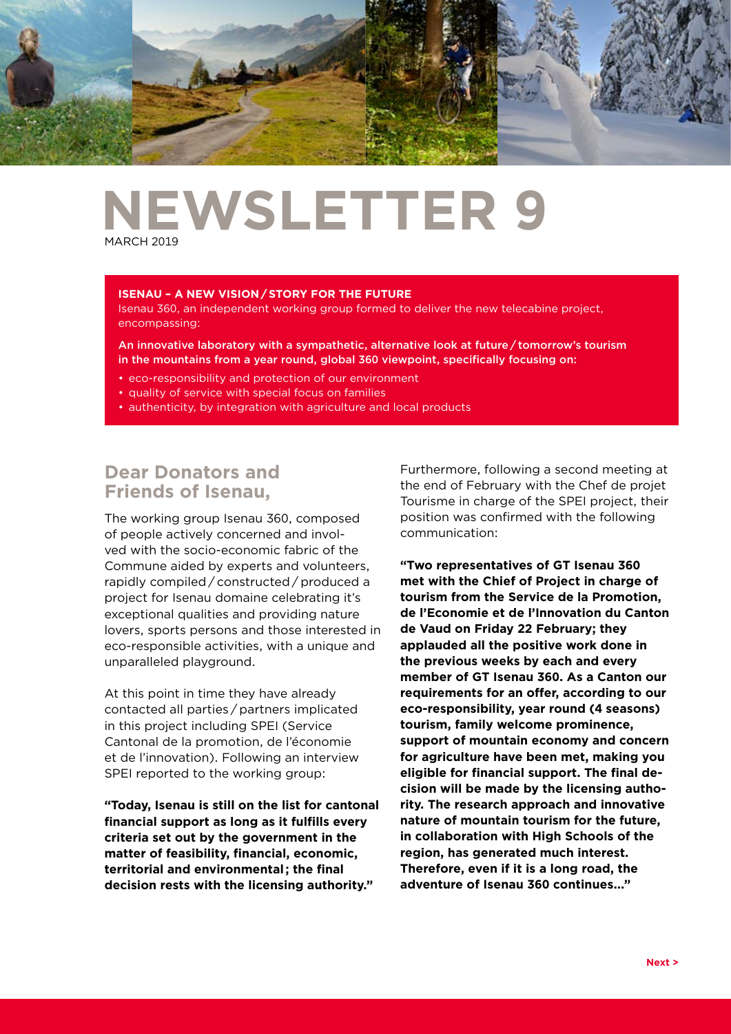

# **NEWSLETTER 9 MARCH 2019**

#### **ISENAU – A NEW VISION / STORY FOR THE FUTURE**

Isenau 360, an independent working group formed to deliver the new telecabine project, encompassing:

An innovative laboratory with a sympathetic, alternative look at future / tomorrow's tourism in the mountains from a year round, global 360 viewpoint, specifically focusing on:

- eco-responsibility and protection of our environment
- quality of service with special focus on families
- authenticity, by integration with agriculture and local products

# **Dear Donators and Friends of Isenau,**

The working group Isenau 360, composed of people actively concerned and involved with the socio-economic fabric of the Commune aided by experts and volunteers, rapidly compiled / constructed / produced a project for Isenau domaine celebrating it's exceptional qualities and providing nature lovers, sports persons and those interested in eco-responsible activities, with a unique and unparalleled playground.

At this point in time they have already contacted all parties / partners implicated in this project including SPEI (Service Cantonal de la promotion, de l'économie et de l'innovation). Following an interview SPEI reported to the working group:

**"Today, Isenau is still on the list for cantonal financial support as long as it fulfills every criteria set out by the government in the matter of feasibility, financial, economic, territorial and environmental ; the final decision rests with the licensing authority."**

Furthermore, following a second meeting at the end of February with the Chef de projet Tourisme in charge of the SPEI project, their position was confirmed with the following communication:

**"Two representatives of GT Isenau 360 met with the Chief of Project in charge of tourism from the Service de la Promotion, de l'Economie et de l'Innovation du Canton de Vaud on Friday 22 February; they applauded all the positive work done in the previous weeks by each and every member of GT Isenau 360. As a Canton our requirements for an offer, according to our eco-responsibility, year round (4 seasons) tourism, family welcome prominence, support of mountain economy and concern for agriculture have been met, making you eligible for financial support. The final decision will be made by the licensing authority. The research approach and innovative nature of mountain tourism for the future, in collaboration with High Schools of the region, has generated much interest. Therefore, even if it is a long road, the adventure of Isenau 360 continues..."**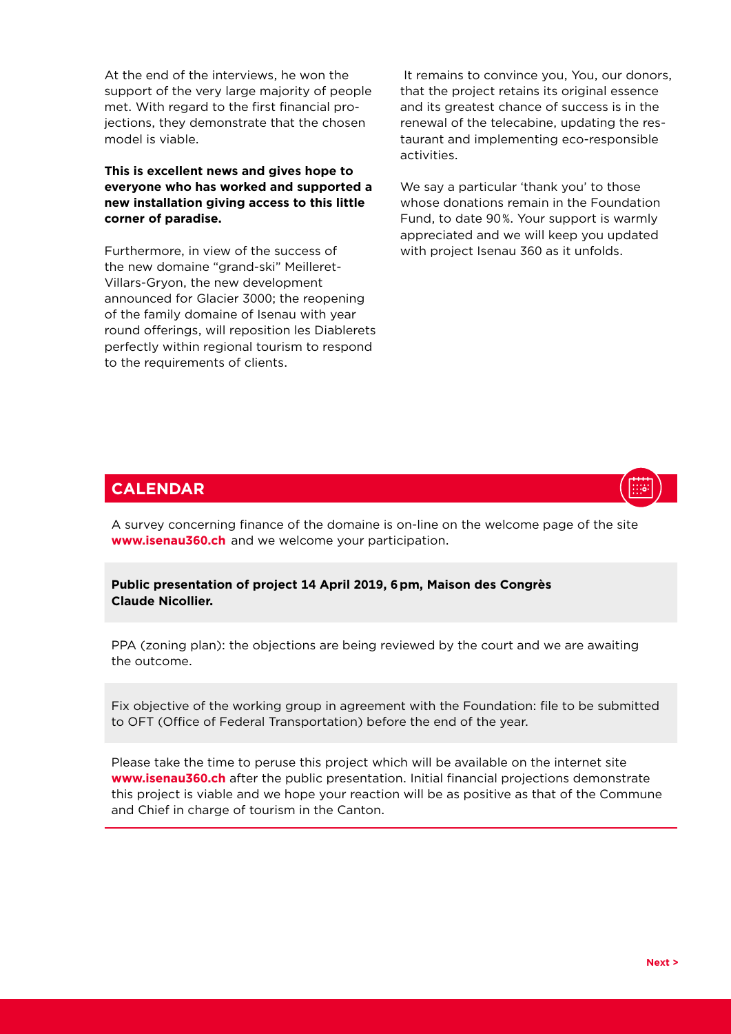At the end of the interviews, he won the support of the very large majority of people met. With regard to the first financial projections, they demonstrate that the chosen model is viable.

## **This is excellent news and gives hope to everyone who has worked and supported a new installation giving access to this little corner of paradise.**

Furthermore, in view of the success of the new domaine "grand-ski" Meilleret-Villars-Gryon, the new development announced for Glacier 3000; the reopening of the family domaine of Isenau with year round offerings, will reposition les Diablerets perfectly within regional tourism to respond to the requirements of clients.

 It remains to convince you, You, our donors, that the project retains its original essence and its greatest chance of success is in the renewal of the telecabine, updating the restaurant and implementing eco-responsible activities.

We say a particular 'thank you' to those whose donations remain in the Foundation Fund, to date 90 %. Your support is warmly appreciated and we will keep you updated with project Isenau 360 as it unfolds.

## **CALENDAR**

A survey concerning finance of the domaine is on-line on the welcome page of the site **www.isenau360.ch**  and we welcome your participation.

### **Public presentation of project 14 April 2019, 6 pm, Maison des Congrès Claude Nicollier.**

PPA (zoning plan): the objections are being reviewed by the court and we are awaiting the outcome.

Fix objective of the working group in agreement with the Foundation: file to be submitted to OFT (Office of Federal Transportation) before the end of the year.

Please take the time to peruse this project which will be available on the internet site **www.isenau360.ch** after the public presentation. Initial financial projections demonstrate this project is viable and we hope your reaction will be as positive as that of the Commune and Chief in charge of tourism in the Canton.